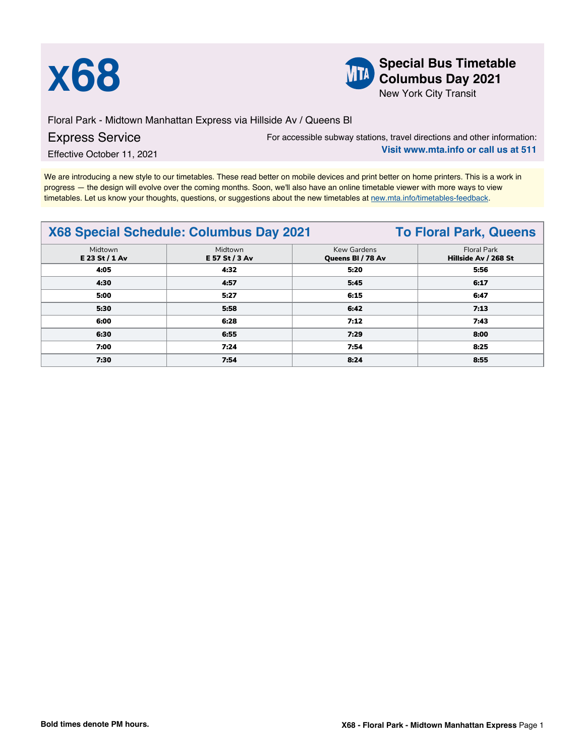



**X68 Special Bus Timetable**<br> **Special Bus Timetable**<br> **Special Bus Timetable**<br> **Special Bus Timetable Columbus Day 2021**

New York City Transit

Floral Park - Midtown Manhattan Express via Hillside Av / Queens Bl Express Service

For accessible subway stations, travel directions and other information: **Visit www.mta.info or call us at 511**

Effective October 11, 2021

We are introducing a new style to our timetables. These read better on mobile devices and print better on home printers. This is a work in progress — the design will evolve over the coming months. Soon, we'll also have an online timetable viewer with more ways to view timetables. Let us know your thoughts, questions, or suggestions about the new timetables at [new.mta.info/timetables-feedback](https://new.mta.info/timetables-feedback).

## **X68 Special Schedule: Columbus Day 2021 To Floral Park, Queens**

|                           |                           |                                  | $\sim$                              |  |  |
|---------------------------|---------------------------|----------------------------------|-------------------------------------|--|--|
| Midtown<br>E 23 St / 1 Av | Midtown<br>E 57 St / 3 Av | Kew Gardens<br>Queens BI / 78 Av | Floral Park<br>Hillside Av / 268 St |  |  |
| 4:05                      | 4:32                      | 5:20                             | 5:56                                |  |  |
| 4:30                      | 4:57                      | 5:45                             | 6:17                                |  |  |
| 5:00                      | 5:27                      | 6:15                             | 6:47                                |  |  |
| 5:30                      | 5:58                      | 6:42                             | 7:13                                |  |  |
| 6:00                      | 6:28                      | 7:12                             | 7:43                                |  |  |
| 6:30                      | 6:55                      | 7:29                             | 8:00                                |  |  |
| 7:00                      | 7:24                      | 7:54                             | 8:25                                |  |  |
| 7:30                      | 7:54                      | 8:24                             | 8:55                                |  |  |